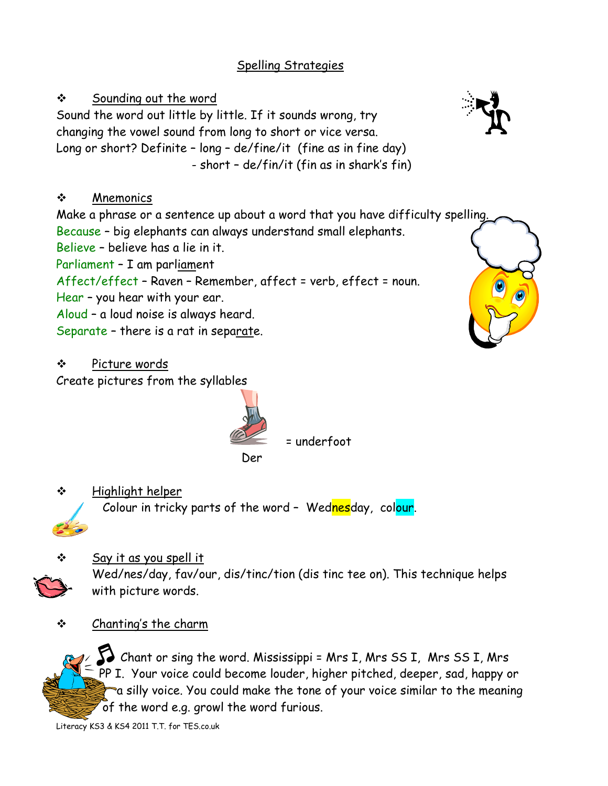## Spelling Strategies

 Sounding out the word Sound the word out little by little. If it sounds wrong, try changing the vowel sound from long to short or vice versa. Long or short? Definite – long – de/fine/it (fine as in fine day) - short – de/fin/it (fin as in shark's fin)

# ❖ Mnemonics

Make a phrase or a sentence up about a word that you have difficulty spelling. Because – big elephants can always understand small elephants.

Believe – believe has a lie in it.

Parliament – I am parliament

Affect/effect – Raven – Remember, affect = verb, effect = noun.

- Hear you hear with your ear.
- Aloud a loud noise is always heard.

Separate – there is a rat in separate.

Picture words

Create pictures from the syllables



= underfoot

```
der der der der der der der Der Der Stadt und der Stadt und der Stadt und der Stadt und der Stadt und der Stad
```
 $\div$  Highlight helper

Colour in tricky parts of the word - Wednesday, colour.



- Say it as you spell it Wed/nes/day, fav/our, dis/tinc/tion (dis tinc tee on). This technique helps with picture words.
- Chanting's the charm



 Chant or sing the word. Mississippi = Mrs I, Mrs SS I, Mrs SS I, Mrs PP I. Your voice could become louder, higher pitched, deeper, sad, happy or a silly voice. You could make the tone of your voice similar to the meaning of the word e.g. growl the word furious.

Literacy KS3 & KS4 2011 T.T. for TES.co.uk



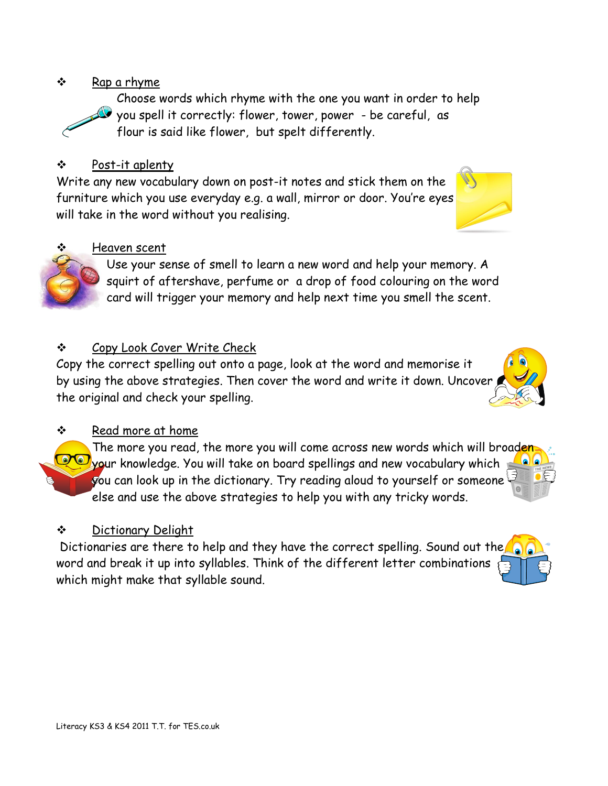## $\mathbf{\hat{P}}$  Rap a rhyme

 Choose words which rhyme with the one you want in order to help you spell it correctly: flower, tower, power - be careful, as flour is said like flower, but spelt differently.

## Post-it aplenty

Write any new vocabulary down on post-it notes and stick them on the furniture which you use everyday e.g. a wall, mirror or door. You're eyes will take in the word without you realising.

## Heaven scent

 Use your sense of smell to learn a new word and help your memory. A squirt of aftershave, perfume or a drop of food colouring on the word card will trigger your memory and help next time you smell the scent.

## Copy Look Cover Write Check

Copy the correct spelling out onto a page, look at the word and memorise it by using the above strategies. Then cover the word and write it down. Uncover the original and check your spelling.

## $\div$  Read more at home

The more you read, the more you will come across new words which will broaden your knowledge. You will take on board spellings and new vocabulary which you can look up in the dictionary. Try reading aloud to yourself or someone else and use the above strategies to help you with any tricky words.

## Dictionary Delight

Dictionaries are there to help and they have the correct spelling. Sound out the word and break it up into syllables. Think of the different letter combinations which might make that syllable sound.





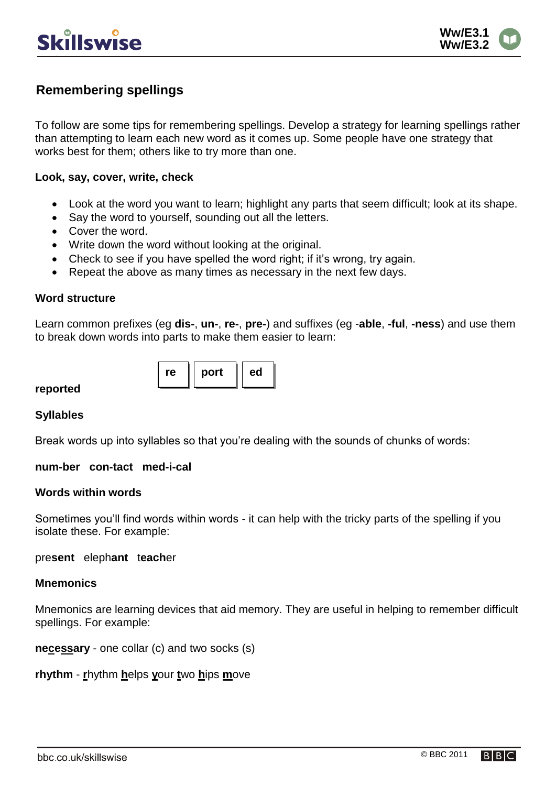

# **Remembering spellings**

To follow are some tips for remembering spellings. Develop a strategy for learning spellings rather than attempting to learn each new word as it comes up. Some people have one strategy that works best for them; others like to try more than one.

### **Look, say, cover, write, check**

- Look at the word you want to learn; highlight any parts that seem difficult; look at its shape.
- Say the word to yourself, sounding out all the letters.
- Cover the word.
- Write down the word without looking at the original.
- Check to see if you have spelled the word right; if it's wrong, try again.
- Repeat the above as many times as necessary in the next few days.

re  $||$  port  $||$  ed

### **Word structure**

Learn common prefixes (eg **dis-**, **un-**, **re-**, **pre-**) and suffixes (eg -**able**, **-ful**, **-ness**) and use them to break down words into parts to make them easier to learn:

### **reported**

### **Syllables**

Break words up into syllables so that you're dealing with the sounds of chunks of words:

### **num-ber con-tact med-i-cal**

### **Words within words**

Sometimes you'll find words within words - it can help with the tricky parts of the spelling if you isolate these. For example:

pre**sent** eleph**ant** t**each**er

### **Mnemonics**

Mnemonics are learning devices that aid memory. They are useful in helping to remember difficult spellings. For example:

**necessary** - one collar (c) and two socks (s)

**rhythm** - **r**hythm **h**elps **y**our **t**wo **h**ips **m**ove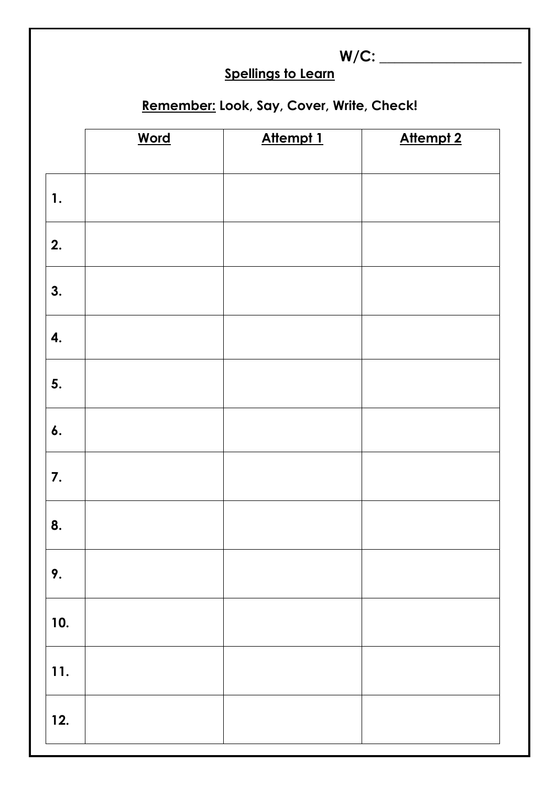|     | <b>Spellings to Learn</b>                 |           |                  |  |
|-----|-------------------------------------------|-----------|------------------|--|
|     |                                           |           |                  |  |
|     | Remember: Look, Say, Cover, Write, Check! |           |                  |  |
|     | <b>Word</b>                               | Attempt 1 | <b>Attempt 2</b> |  |
|     |                                           |           |                  |  |
| 1.  |                                           |           |                  |  |
| 2.  |                                           |           |                  |  |
| 3.  |                                           |           |                  |  |
| 4.  |                                           |           |                  |  |
| 5.  |                                           |           |                  |  |
| 6.  |                                           |           |                  |  |
| 7.  |                                           |           |                  |  |
| 8.  |                                           |           |                  |  |
| 9.  |                                           |           |                  |  |
| 10. |                                           |           |                  |  |
| 11. |                                           |           |                  |  |
| 12. |                                           |           |                  |  |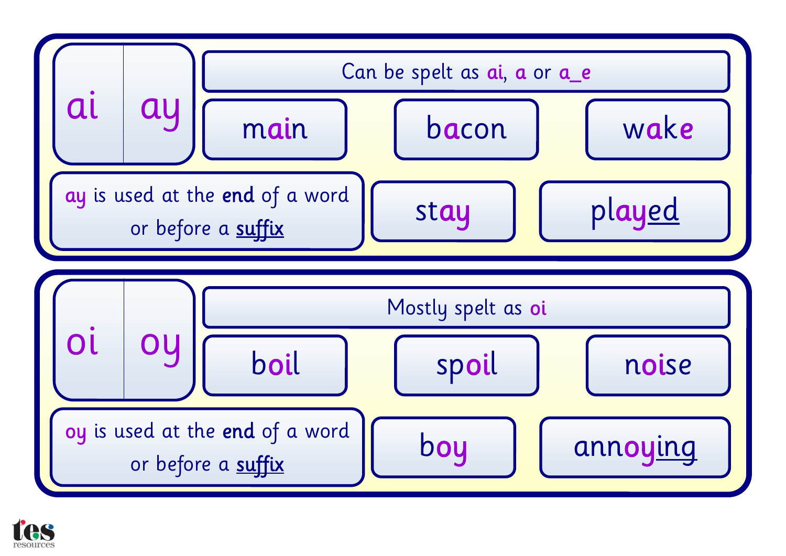

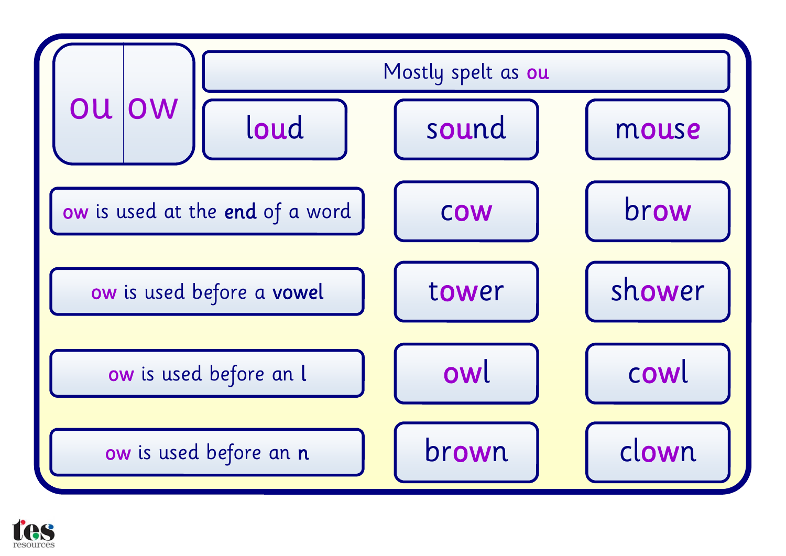

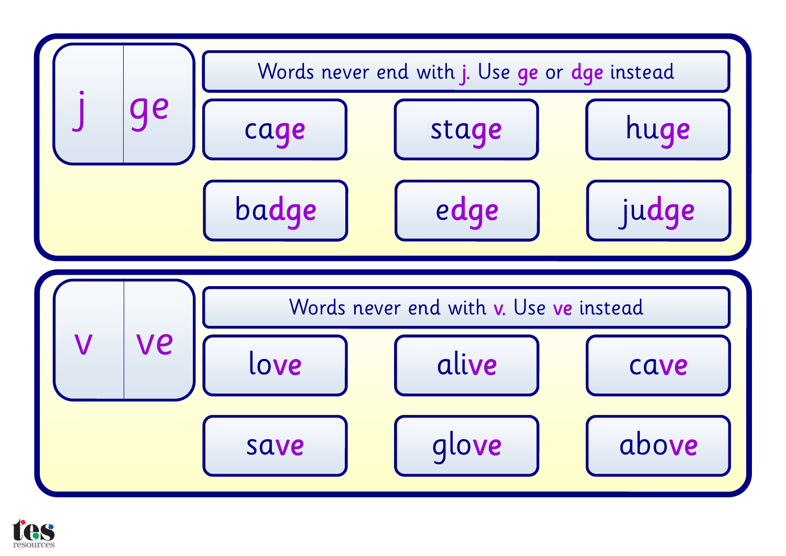